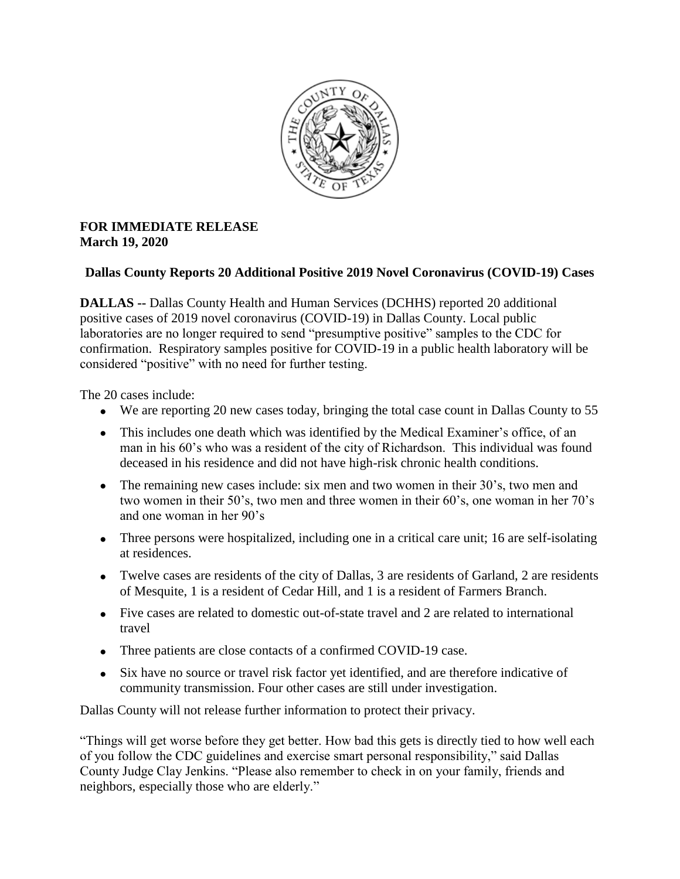

## **FOR IMMEDIATE RELEASE March 19, 2020**

## **Dallas County Reports 20 Additional Positive 2019 Novel Coronavirus (COVID-19) Cases**

**DALLAS --** Dallas County Health and Human Services (DCHHS) reported 20 additional positive cases of 2019 novel coronavirus (COVID-19) in Dallas County. Local public laboratories are no longer required to send "presumptive positive" samples to the CDC for confirmation. Respiratory samples positive for COVID-19 in a public health laboratory will be considered "positive" with no need for further testing.

The 20 cases include:

- We are reporting 20 new cases today, bringing the total case count in Dallas County to 55
- This includes one death which was identified by the Medical Examiner's office, of an man in his 60's who was a resident of the city of Richardson. This individual was found deceased in his residence and did not have high-risk chronic health conditions.
- The remaining new cases include: six men and two women in their 30's, two men and two women in their 50's, two men and three women in their 60's, one woman in her 70's and one woman in her 90's
- Three persons were hospitalized, including one in a critical care unit; 16 are self-isolating at residences.
- Twelve cases are residents of the city of Dallas, 3 are residents of Garland, 2 are residents of Mesquite, 1 is a resident of Cedar Hill, and 1 is a resident of Farmers Branch.
- Five cases are related to domestic out-of-state travel and 2 are related to international travel
- Three patients are close contacts of a confirmed COVID-19 case.
- Six have no source or travel risk factor yet identified, and are therefore indicative of community transmission. Four other cases are still under investigation.

Dallas County will not release further information to protect their privacy.

"Things will get worse before they get better. How bad this gets is directly tied to how well each of you follow the CDC guidelines and exercise smart personal responsibility," said Dallas County Judge Clay Jenkins. "Please also remember to check in on your family, friends and neighbors, especially those who are elderly."